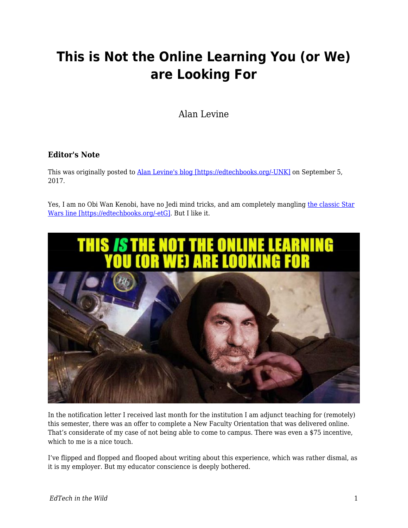# **This is Not the Online Learning You (or We) are Looking For**

Alan Levine

### **Editor's Note**

This was originally posted to **Alan Levine's blog [https://edtechbooks.org/-UNK]** on September 5, 2017.

Yes, I am no Obi Wan Kenobi, have no Jedi mind tricks, and am completely mangling [the classic Star](https://youtu.be/532j-186xEQ?t=43s) [Wars line \[https://edtechbooks.org/-etG\].](https://youtu.be/532j-186xEQ?t=43s) But I like it.



In the notification letter I received last month for the institution I am adjunct teaching for (remotely) this semester, there was an offer to complete a New Faculty Orientation that was delivered online. That's considerate of my case of not being able to come to campus. There was even a \$75 incentive, which to me is a nice touch.

I've flipped and flopped and flooped about writing about this experience, which was rather dismal, as it is my employer. But my educator conscience is deeply bothered.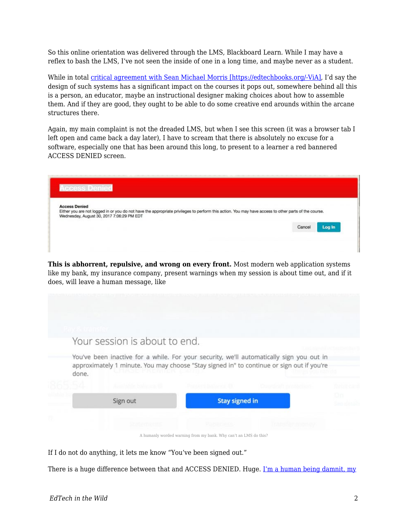So this online orientation was delivered through the LMS, Blackboard Learn. While I may have a reflex to bash the LMS, I've not seen the inside of one in a long time, and maybe never as a student.

While in total [critical agreement with Sean Michael Morris \[https://edtechbooks.org/-ViA\],](http://digitallearning.middcreate.net/instructional-design/reading-the-lms-against-the-backdrop-of-critical-pedagogy-part-one/) I'd say the design of such systems has a significant impact on the courses it pops out, somewhere behind all this is a person, an educator, maybe an instructional designer making choices about how to assemble them. And if they are good, they ought to be able to do some creative end arounds within the arcane structures there.

Again, my main complaint is not the dreaded LMS, but when I see this screen (it was a browser tab I left open and came back a day later), I have to scream that there is absolutely no excuse for a software, especially one that has been around this long, to present to a learner a red bannered ACCESS DENIED screen.

| <b>Access Denied</b>                      |                                                                                                                                                      |  |        |        |
|-------------------------------------------|------------------------------------------------------------------------------------------------------------------------------------------------------|--|--------|--------|
|                                           | Either you are not logged in or you do not have the appropriate privileges to perform this action. You may have access to other parts of the course. |  |        |        |
| Wednesday, August 30, 2017 7:06:29 PM EDT |                                                                                                                                                      |  |        |        |
|                                           |                                                                                                                                                      |  | Cancel | Log In |
|                                           |                                                                                                                                                      |  |        |        |

**This is abhorrent, repulsive, and wrong on every front.** Most modern web application systems like my bank, my insurance company, present warnings when my session is about time out, and if it does, will leave a human message, like

| Your session is about to end.                                                                                                                                                                  |                                                                  |            |    |  |  |  |  |
|------------------------------------------------------------------------------------------------------------------------------------------------------------------------------------------------|------------------------------------------------------------------|------------|----|--|--|--|--|
| You've been inactive for a while. For your security, we'll automatically sign you out in<br>approximately 1 minute. You may choose "Stay signed in" to continue or sign out if you're<br>done. |                                                                  |            |    |  |  |  |  |
| <b>Louisia Film Publication</b>                                                                                                                                                                | Gert Bakkers & HR                                                |            |    |  |  |  |  |
| Sign out                                                                                                                                                                                       | <b>Stay signed in</b>                                            |            | On |  |  |  |  |
| <b>NATIONAL PROPERTY</b>                                                                                                                                                                       | SAUSIES CHE ENTIRE                                               | 医内结束杆骨的骨折的 |    |  |  |  |  |
|                                                                                                                                                                                                | A humanly worded warning from my bank. Why can't an LMS do this? |            |    |  |  |  |  |

If I do not do anything, it lets me know "You've been signed out."

There is a huge difference between that and ACCESS DENIED. Huge. [I'm a human being damnit, my](https://youtu.be/N4ijDjKj4ZQ?t=1m13s)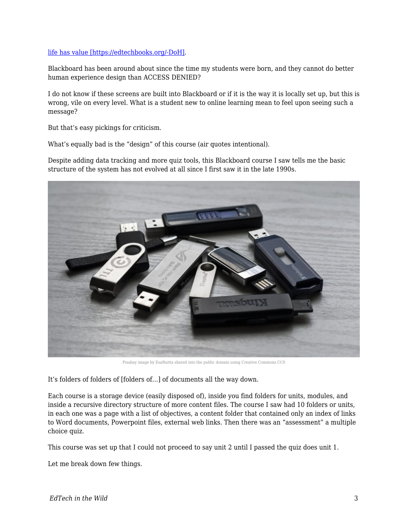#### [life has value \[https://edtechbooks.org/-DoH\]](https://youtu.be/N4ijDjKj4ZQ?t=1m13s).

Blackboard has been around about since the time my students were born, and they cannot do better human experience design than ACCESS DENIED?

I do not know if these screens are built into Blackboard or if it is the way it is locally set up, but this is wrong, vile on every level. What is a student new to online learning mean to feel upon seeing such a message?

But that's easy pickings for criticism.

What's equally bad is the "design" of this course (air quotes intentional).

Despite adding data tracking and more quiz tools, this Blackboard course I saw tells me the basic structure of the system has not evolved at all since I first saw it in the late 1990s.



Pixabay image by EsaRuitta shared into the public domain using Creative Commons CC0

It's folders of folders of [folders of…] of documents all the way down.

Each course is a storage device (easily disposed of), inside you find folders for units, modules, and inside a recursive directory structure of more content files. The course I saw had 10 folders or units, in each one was a page with a list of objectives, a content folder that contained only an index of links to Word documents, Powerpoint files, external web links. Then there was an "assessment" a multiple choice quiz.

This course was set up that I could not proceed to say unit 2 until I passed the quiz does unit 1.

Let me break down few things.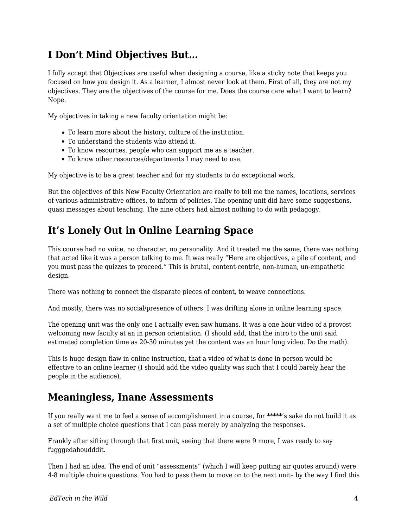# **I Don't Mind Objectives But…**

I fully accept that Objectives are useful when designing a course, like a sticky note that keeps you focused on how you design it. As a learner, I almost never look at them. First of all, they are not my objectives. They are the objectives of the course for me. Does the course care what I want to learn? Nope.

My objectives in taking a new faculty orientation might be:

- To learn more about the history, culture of the institution.
- To understand the students who attend it.
- To know resources, people who can support me as a teacher.
- To know other resources/departments I may need to use.

My objective is to be a great teacher and for my students to do exceptional work.

But the objectives of this New Faculty Orientation are really to tell me the names, locations, services of various administrative offices, to inform of policies. The opening unit did have some suggestions, quasi messages about teaching. The nine others had almost nothing to do with pedagogy.

# **It's Lonely Out in Online Learning Space**

This course had no voice, no character, no personality. And it treated me the same, there was nothing that acted like it was a person talking to me. It was really "Here are objectives, a pile of content, and you must pass the quizzes to proceed." This is brutal, content-centric, non-human, un-empathetic design.

There was nothing to connect the disparate pieces of content, to weave connections.

And mostly, there was no social/presence of others. I was drifting alone in online learning space.

The opening unit was the only one I actually even saw humans. It was a one hour video of a provost welcoming new faculty at an in person orientation. (I should add, that the intro to the unit said estimated completion time as 20-30 minutes yet the content was an hour long video. Do the math).

This is huge design flaw in online instruction, that a video of what is done in person would be effective to an online learner (I should add the video quality was such that I could barely hear the people in the audience).

### **Meaningless, Inane Assessments**

If you really want me to feel a sense of accomplishment in a course, for \*\*\*\*\*'s sake do not build it as a set of multiple choice questions that I can pass merely by analyzing the responses.

Frankly after sifting through that first unit, seeing that there were 9 more, I was ready to say fugggedaboudddit.

Then I had an idea. The end of unit "assessments" (which I will keep putting air quotes around) were 4-8 multiple choice questions. You had to pass them to move on to the next unit– by the way I find this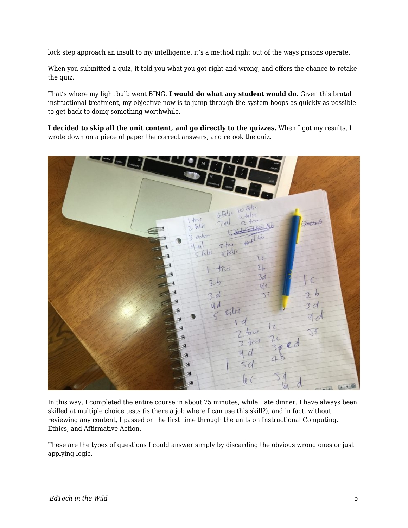lock step approach an insult to my intelligence, it's a method right out of the ways prisons operate.

When you submitted a quiz, it told you what you got right and wrong, and offers the chance to retake the quiz.

That's where my light bulb went BING. **I would do what any student would do.** Given this brutal instructional treatment, my objective now is to jump through the system hoops as quickly as possible to get back to doing something worthwhile.

**I decided to skip all the unit content, and go directly to the quizzes.** When I got my results, I wrote down on a piece of paper the correct answers, and retook the quiz.



In this way, I completed the entire course in about 75 minutes, while I ate dinner. I have always been skilled at multiple choice tests (is there a job where I can use this skill?), and in fact, without reviewing any content, I passed on the first time through the units on Instructional Computing, Ethics, and Affirmative Action.

These are the types of questions I could answer simply by discarding the obvious wrong ones or just applying logic.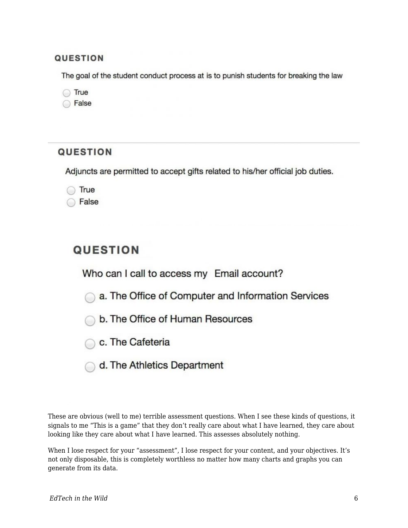### **QUESTION**

The goal of the student conduct process at is to punish students for breaking the law

◯ True

◯ False

### **QUESTION**

Adjuncts are permitted to accept gifts related to his/her official job duties.

True

False

## **QUESTION**

Who can I call to access my Email account?

a. The Office of Computer and Information Services

- b. The Office of Human Resources
- C. The Cafeteria
- d. The Athletics Department

These are obvious (well to me) terrible assessment questions. When I see these kinds of questions, it signals to me "This is a game" that they don't really care about what I have learned, they care about looking like they care about what I have learned. This assesses absolutely nothing.

When I lose respect for your "assessment", I lose respect for your content, and your objectives. It's not only disposable, this is completely worthless no matter how many charts and graphs you can generate from its data.